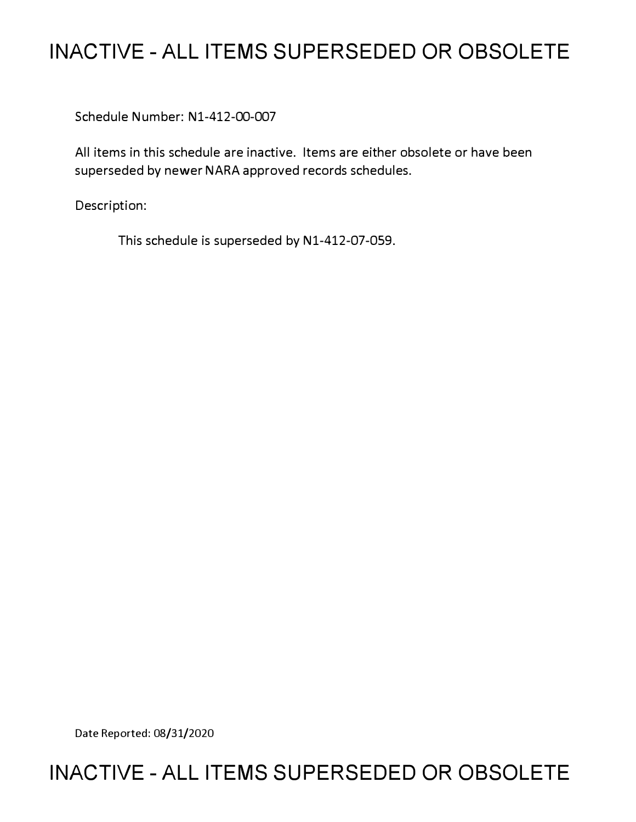# **INACTIVE - ALL ITEMS SUPERSEDED OR OBSOLETE**

Schedule Number: Nl-412-00-007

All items in this schedule are inactive. Items are either obsolete or have been superseded by newer NARA approved records schedules.

Description:

This schedule is superseded by N1-412-07-059.

Date Reported: 08/31/2020

# **INACTIVE - ALL ITEMS SUPERSEDED OR OBSOLETE**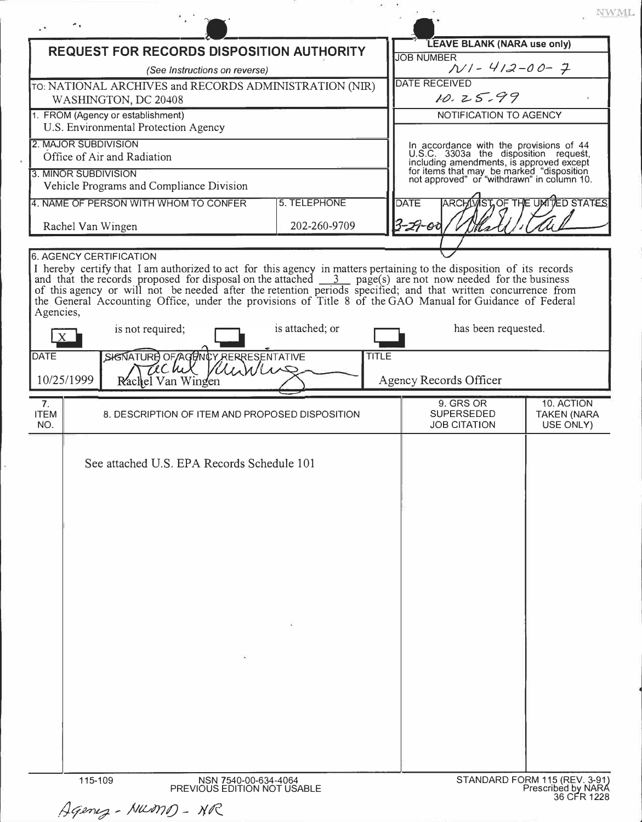|                                                     |                                                                                                                                                                                                                                                                                                                                                                                                                                                                           |                 |              |                                                                                                                              | VWI                                           |
|-----------------------------------------------------|---------------------------------------------------------------------------------------------------------------------------------------------------------------------------------------------------------------------------------------------------------------------------------------------------------------------------------------------------------------------------------------------------------------------------------------------------------------------------|-----------------|--------------|------------------------------------------------------------------------------------------------------------------------------|-----------------------------------------------|
|                                                     | <b>REQUEST FOR RECORDS DISPOSITION AUTHORITY</b>                                                                                                                                                                                                                                                                                                                                                                                                                          |                 |              | LEAVE BLANK (NARA use only)                                                                                                  |                                               |
|                                                     | (See Instructions on reverse)                                                                                                                                                                                                                                                                                                                                                                                                                                             |                 |              | <b>JOB NUMBER</b><br>$N1 - 412 - 00 - 7$                                                                                     |                                               |
|                                                     | TO: NATIONAL ARCHIVES and RECORDS ADMINISTRATION (NIR)                                                                                                                                                                                                                                                                                                                                                                                                                    |                 |              | <b>DATE RECEIVED</b>                                                                                                         |                                               |
|                                                     | WASHINGTON, DC 20408<br>1. FROM (Agency or establishment)                                                                                                                                                                                                                                                                                                                                                                                                                 |                 |              | 10.25.99<br>NOTIFICATION TO AGENCY                                                                                           |                                               |
|                                                     | U.S. Environmental Protection Agency                                                                                                                                                                                                                                                                                                                                                                                                                                      |                 |              |                                                                                                                              |                                               |
| 2. MAJOR SUBDIVISION<br>Office of Air and Radiation |                                                                                                                                                                                                                                                                                                                                                                                                                                                                           |                 |              | In accordance with the provisions of 44<br>U.S.C. 3303a the disposition request,<br>including amendments, is approved except |                                               |
| 3. MINOR SUBDIVISION                                |                                                                                                                                                                                                                                                                                                                                                                                                                                                                           |                 |              | for items that may be marked "disposition<br>not approved" or "withdrawn" in column 10.                                      |                                               |
|                                                     | Vehicle Programs and Compliance Division                                                                                                                                                                                                                                                                                                                                                                                                                                  |                 |              |                                                                                                                              |                                               |
|                                                     | 4. NAME OF PERSON WITH WHOM TO CONFER                                                                                                                                                                                                                                                                                                                                                                                                                                     | 5. TELEPHONE    |              | <b>DATE</b>                                                                                                                  | <b>ARCH MIST OF THE UNITED STATES</b>         |
| Rachel Van Wingen                                   |                                                                                                                                                                                                                                                                                                                                                                                                                                                                           | 202-260-9709    |              | $3 - 27 - 01$                                                                                                                |                                               |
| <b>6. AGENCY CERTIFICATION</b>                      |                                                                                                                                                                                                                                                                                                                                                                                                                                                                           |                 |              |                                                                                                                              |                                               |
| Agencies,                                           | I hereby certify that I am authorized to act for this agency in matters pertaining to the disposition of its records<br>and that the records proposed for disposal on the attached $\frac{3}{2}$ page(s) are not now needed for the business<br>of this agency or will not be needed after the retention periods specified; and that written concurrence from<br>the General Accounting Office, under the provisions of Title 8 of the GAO Manual for Guidance of Federal |                 |              |                                                                                                                              |                                               |
|                                                     | is not required;                                                                                                                                                                                                                                                                                                                                                                                                                                                          | is attached; or |              | has been requested.                                                                                                          |                                               |
| <b>DATE</b>                                         | SIGNATURE OF AGENCY RERRESENTATIVE<br>Kurvu<br>Techix                                                                                                                                                                                                                                                                                                                                                                                                                     |                 | <b>TITLE</b> |                                                                                                                              |                                               |
| 10/25/1999                                          | Rachel Van Wingen                                                                                                                                                                                                                                                                                                                                                                                                                                                         |                 |              | Agency Records Officer                                                                                                       |                                               |
| 7 <sub>1</sub><br><b>ITEM</b><br>NO.                | 8. DESCRIPTION OF ITEM AND PROPOSED DISPOSITION                                                                                                                                                                                                                                                                                                                                                                                                                           |                 |              | 9. GRS OR<br><b>SUPERSEDED</b><br><b>JOB CITATION</b>                                                                        | 10. ACTION<br><b>TAKEN (NARA</b><br>USE ONLY) |
|                                                     | See attached U.S. EPA Records Schedule 101                                                                                                                                                                                                                                                                                                                                                                                                                                |                 |              |                                                                                                                              |                                               |
| 115-109                                             | NSN 7540-00-634-4064<br>PREVIOUS EDITION NOT USABLE                                                                                                                                                                                                                                                                                                                                                                                                                       |                 |              |                                                                                                                              | STANDARD FORM 115 (REV. 3-91)                 |

| Agency-MUMD-NR |  |
|----------------|--|
|----------------|--|

e)<br>N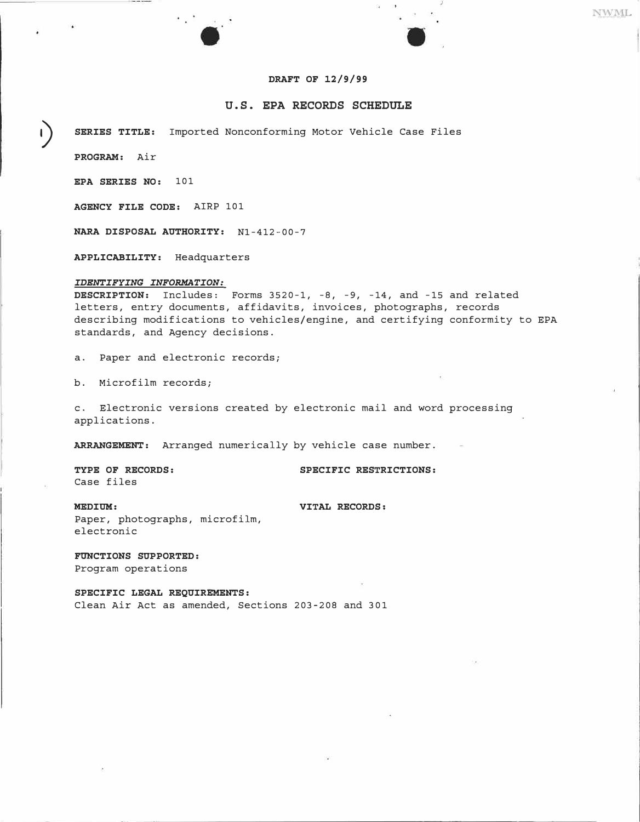## NWML

## **DRAFT OF 12/9/99**

## **U.S. EPA RECORDS SCHEDULE**

**1) SERIES TITLE:** Imported Nonconforming Motor Vehicle Case Files

**PROGRAM:** Air

**EPA SERIES NO:** 101

**AGENCY FILE CODE:** AIRP 101

**NARA DISPOSAL AUTHORITY:** Nl-412-00-7

r, S

**APPLICABILITY:** Headquarters

#### *IDENTIFYING INFORMATION:*

**DESCRIPTION:** Includes: Forms 3520-1, -8, -9, -14, and -15 and related letters, entry documents, affidavits, invoices, photographs, records describing modifications to vehicles/engine, and certifying conformity to EPA standards, and Agency decisions.

a. Paper and electronic records;

b. Microfilm records;

c. Electronic versions created by electronic mail and word processing applications.

**ARRANGEMENT:** Arranged numerically by vehicle case number.

Case files

**TYPE OF RECORDS: SPECIFIC RESTRICTIONS:** 

**MEDIUM: VITAL RECORDS:**  Paper, photographs, microfilm, electronic

**FUNCTIONS SUPPORTED:**  Program operations

**SPECIFIC LEGAL REQUIREMENTS:**  Clean Air Act as amended, Sections 203-208 and 301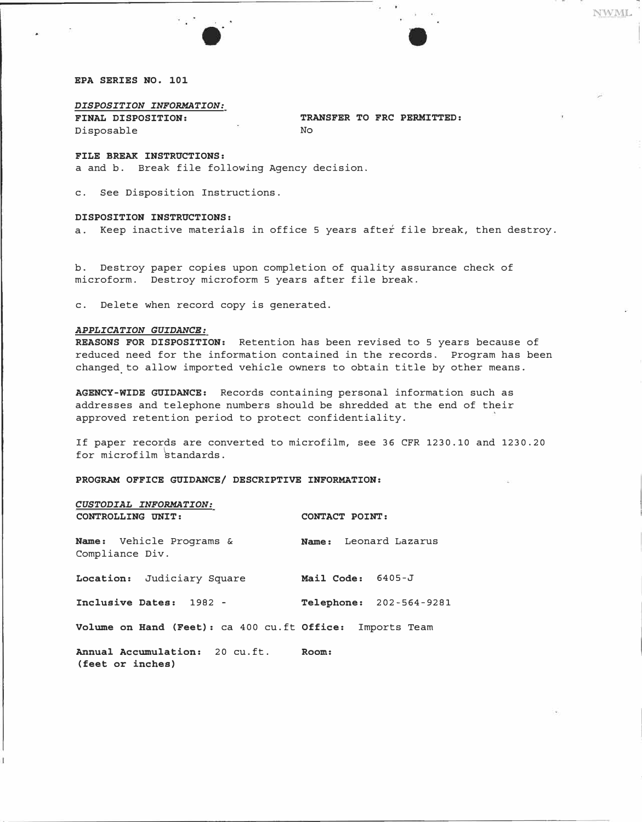#### *EPA SERIES NO. 101*

*FINAL DISPOSITION:* 

Disposable

*DISPOSITION INFORMATION:* 

*TRANSFER TO FRC PERMITTED:* 

*No* 

**NWML** 

#### *FILE BREAK INSTRUCTIONS:*

a and b. Break file following Agency decision.

c. See Disposition Instructions.

#### *DISPOSITION INSTRUCTIONS:*

a. Keep inactive materials in office 5 years after file break, then destroy.

b. Destroy paper copies upon completion of quality assurance check of microform. Destroy microform 5 years after file break.

c. Delete when record copy is generated.

### *APPLICATION GUIDANCE:*

*REASONS FOR DISPOSITION:* Retention has been revised to 5 years because of reduced need for the information contained in the records. Program has been changed. to allow imported vehicle owners to obtain title by other means.

*AGENCY-WIDE GUIDANCE:* Records containing personal information such as addresses and telephone numbers should be shredded at the end of their approved retention period to protect confidentiality.

If paper records are converted to microfilm, see 36 CFR 1230. 10 and 1230.20 for microfilm �tandards.

*PROGRAM OFFICE GUIDANCE/ DESCRIPTIVE INFORMATION:* 

| CUSTODIAL INFORMATION:                                   |                                |  |  |
|----------------------------------------------------------|--------------------------------|--|--|
| CONTROLLING UNIT:                                        | CONTACT POINT:                 |  |  |
| <b>Name:</b> Vehicle Programs &<br>Compliance Div.       | Name: Leonard Lazarus          |  |  |
| Location: Judiciary Square                               | Mail Code: 6405-J              |  |  |
| Inclusive Dates: 1982 -                                  | <b>Telephone:</b> 202-564-9281 |  |  |
| Volume on Hand (Feet): ca 400 cu.ft Office: Imports Team |                                |  |  |
| Annual Accumulation: 20 cu.ft.<br>(feet or inches)       | Room:                          |  |  |